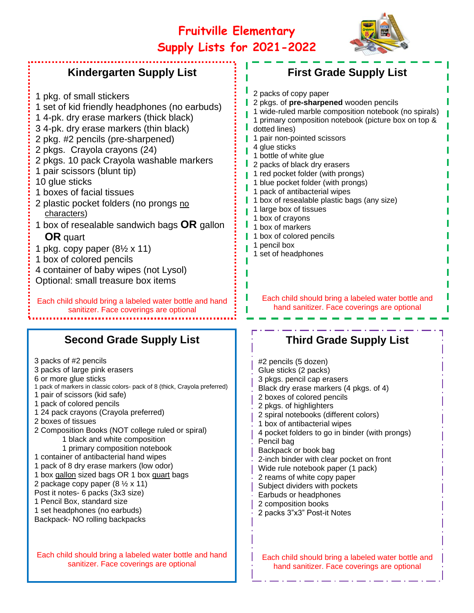# **Fruitville Elementary Supply Lists for 2021-2022**



## **Kindergarten Supply List**

1 pkg. of small stickers 1 set of kid friendly headphones (no earbuds) 1 4-pk. dry erase markers (thick black) 3 4-pk. dry erase markers (thin black) 2 pkg. #2 pencils (pre-sharpened) 2 pkgs. Crayola crayons (24) 2 pkgs. 10 pack Crayola washable markers 1 pair scissors (blunt tip) 10 glue sticks 1 boxes of facial tissues 2 plastic pocket folders (no prongs no characters) 1 box of resealable sandwich bags **OR** gallon **OR** quart 1 pkg. copy paper  $(8\frac{1}{2} \times 11)$ 1 box of colored pencils 4 container of baby wipes (not Lysol) Optional: small treasure box items Each child should bring a labeled water bottle and hand sanitizer. Face coverings are optional

### **Second Grade Supply List**

3 packs of #2 pencils 3 packs of large pink erasers 6 or more glue sticks 1 pack of markers in classic colors- pack of 8 (thick, Crayola preferred) 1 pair of scissors (kid safe) 1 pack of colored pencils 1 24 pack crayons (Crayola preferred) 2 boxes of tissues 2 Composition Books (NOT college ruled or spiral) 1 black and white composition 1 primary composition notebook 1 container of antibacterial hand wipes 1 pack of 8 dry erase markers (low odor) 1 box gallon sized bags OR 1 box quart bags 2 package copy paper  $(8 \frac{1}{2} \times 11)$ Post it notes- 6 packs (3x3 size) 1 Pencil Box, standard size 1 set headphones (no earbuds) Backpack- NO rolling backpacks

Each child should bring a labeled water bottle and hand sanitizer. Face coverings are optional

| <b>First Grade Supply List</b>                                                                                                                                                                                                                                                                                                                                                                                                                                                                                                                                                                               |
|--------------------------------------------------------------------------------------------------------------------------------------------------------------------------------------------------------------------------------------------------------------------------------------------------------------------------------------------------------------------------------------------------------------------------------------------------------------------------------------------------------------------------------------------------------------------------------------------------------------|
| 2 packs of copy paper<br>2 pkgs. of pre-sharpened wooden pencils<br>1 wide-ruled marble composition notebook (no spirals)<br>1 primary composition notebook (picture box on top &<br>dotted lines)<br>1 pair non-pointed scissors<br>4 glue sticks<br>1 bottle of white glue<br>2 packs of black dry erasers<br>1 red pocket folder (with prongs)<br>1 blue pocket folder (with prongs)<br>1 pack of antibacterial wipes<br>1 box of resealable plastic bags (any size)<br>1 large box of tissues<br>1 box of crayons<br>1 box of markers<br>1 box of colored pencils<br>1 pencil box<br>1 set of headphones |
| Each child should bring a labeled water bottle and                                                                                                                                                                                                                                                                                                                                                                                                                                                                                                                                                           |

## **Third Grade Supply List**

hand sanitizer. Face coverings are optional

| #2 pencils (5 dozen)<br>Glue sticks (2 packs)<br>3 pkgs. pencil cap erasers<br>Black dry erase markers (4 pkgs. of 4)<br>2 boxes of colored pencils<br>2 pkgs. of highlighters<br>2 spiral notebooks (different colors)<br>1 box of antibacterial wipes<br>4 pocket folders to go in binder (with prongs)<br>Pencil bag<br>Backpack or book bag<br>2-inch binder with clear pocket on front<br>Wide rule notebook paper (1 pack)<br>2 reams of white copy paper<br>Subject dividers with pockets<br>Earbuds or headphones<br>2 composition books<br>2 packs 3"x3" Post-it Notes |
|---------------------------------------------------------------------------------------------------------------------------------------------------------------------------------------------------------------------------------------------------------------------------------------------------------------------------------------------------------------------------------------------------------------------------------------------------------------------------------------------------------------------------------------------------------------------------------|
|                                                                                                                                                                                                                                                                                                                                                                                                                                                                                                                                                                                 |

Each child should bring a labeled water bottle and hand sanitizer. Face coverings are optional